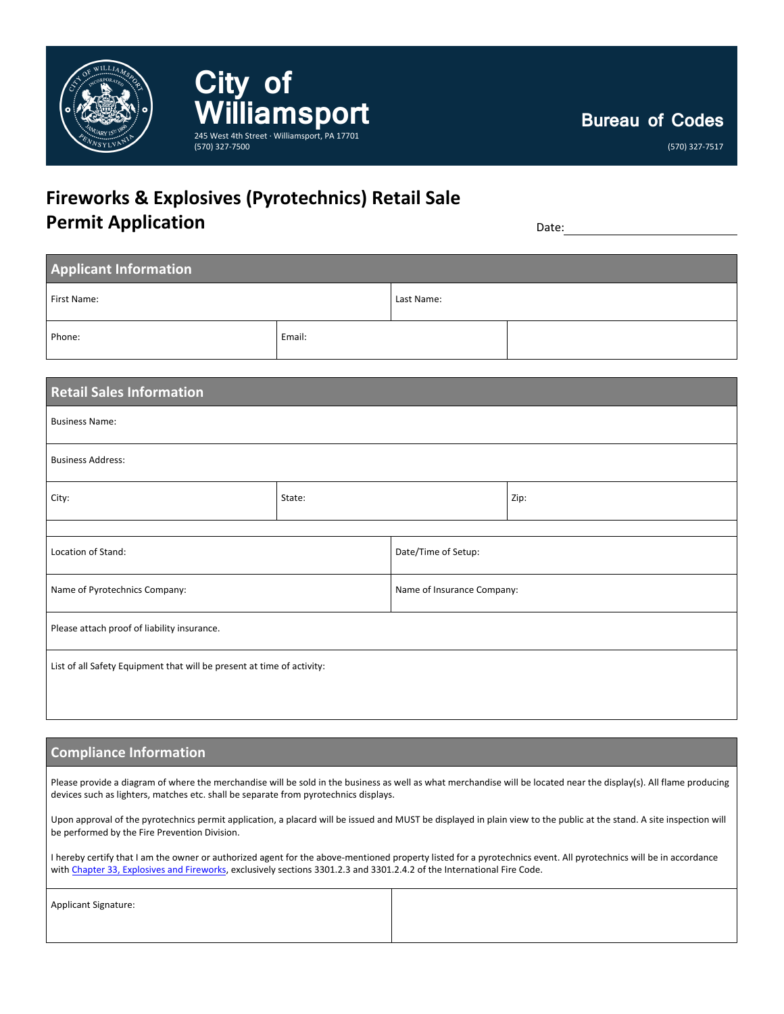

(570) 327-7517

## **Fireworks & Explosives (Pyrotechnics) Retail Sale Permit Application** Date:

| <b>Applicant Information</b> |        |            |  |  |  |
|------------------------------|--------|------------|--|--|--|
| First Name:                  |        | Last Name: |  |  |  |
| Phone:                       | Email: |            |  |  |  |

| <b>Retail Sales Information</b>                                        |        |                            |      |  |  |
|------------------------------------------------------------------------|--------|----------------------------|------|--|--|
| <b>Business Name:</b>                                                  |        |                            |      |  |  |
| <b>Business Address:</b>                                               |        |                            |      |  |  |
| City:                                                                  | State: |                            | Zip: |  |  |
|                                                                        |        |                            |      |  |  |
| Location of Stand:                                                     |        | Date/Time of Setup:        |      |  |  |
| Name of Pyrotechnics Company:                                          |        | Name of Insurance Company: |      |  |  |
| Please attach proof of liability insurance.                            |        |                            |      |  |  |
| List of all Safety Equipment that will be present at time of activity: |        |                            |      |  |  |

## **Compliance Information**

Please provide a diagram of where the merchandise will be sold in the business as well as what merchandise will be located near the display(s). All flame producing devices such as lighters, matches etc. shall be separate from pyrotechnics displays.

Upon approval of the pyrotechnics permit application, a placard will be issued and MUST be displayed in plain view to the public at the stand. A site inspection will be performed by the Fire Prevention Division.

I hereby certify that I am the owner or authorized agent for the above-mentioned property listed for a pyrotechnics event. All pyrotechnics will be in accordance with Chapter [33, Explosives and Fireworks,](https://codes.iccsafe.org/content/IFC2009/chapter-33-explosives-and-fireworks) exclusively sections 3301.2.3 and 3301.2.4.2 of the International Fire Code.

| Applicant Signature: |  |
|----------------------|--|
|                      |  |